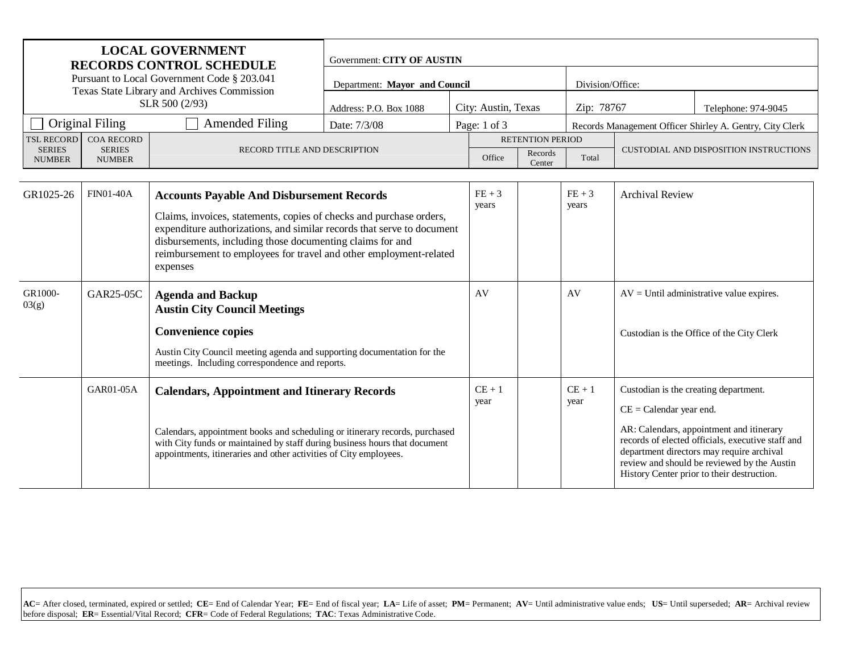| <b>LOCAL GOVERNMENT</b><br><b>RECORDS CONTROL SCHEDULE</b>                                                                                 |                  | Government: CITY OF AUSTIN                                                                                                                                                                                                                                                                                                                       |                               |                   |                                        |                   |                        |                                                                    |                                                                                                                                                                                                                                         |
|--------------------------------------------------------------------------------------------------------------------------------------------|------------------|--------------------------------------------------------------------------------------------------------------------------------------------------------------------------------------------------------------------------------------------------------------------------------------------------------------------------------------------------|-------------------------------|-------------------|----------------------------------------|-------------------|------------------------|--------------------------------------------------------------------|-----------------------------------------------------------------------------------------------------------------------------------------------------------------------------------------------------------------------------------------|
| Pursuant to Local Government Code § 203.041<br>Texas State Library and Archives Commission                                                 |                  |                                                                                                                                                                                                                                                                                                                                                  | Department: Mayor and Council |                   |                                        | Division/Office:  |                        |                                                                    |                                                                                                                                                                                                                                         |
| SLR 500 (2/93)                                                                                                                             |                  |                                                                                                                                                                                                                                                                                                                                                  | Address: P.O. Box 1088        |                   | City: Austin, Texas                    |                   | Zip: 78767             |                                                                    | Telephone: 974-9045                                                                                                                                                                                                                     |
| <b>Original Filing</b><br><b>Amended Filing</b>                                                                                            |                  | Date: 7/3/08                                                                                                                                                                                                                                                                                                                                     |                               | Page: 1 of 3      |                                        |                   |                        | Records Management Officer Shirley A. Gentry, City Clerk           |                                                                                                                                                                                                                                         |
| <b>COA RECORD</b><br><b>TSL RECORD</b><br><b>SERIES</b><br><b>SERIES</b><br>RECORD TITLE AND DESCRIPTION<br><b>NUMBER</b><br><b>NUMBER</b> |                  | <b>RETENTION PERIOD</b><br>Records<br>Office<br>Center                                                                                                                                                                                                                                                                                           |                               | Total             | CUSTODIAL AND DISPOSITION INSTRUCTIONS |                   |                        |                                                                    |                                                                                                                                                                                                                                         |
| GR1025-26                                                                                                                                  | <b>FIN01-40A</b> | <b>Accounts Payable And Disbursement Records</b><br>Claims, invoices, statements, copies of checks and purchase orders,<br>expenditure authorizations, and similar records that serve to document<br>disbursements, including those documenting claims for and<br>reimbursement to employees for travel and other employment-related<br>expenses |                               | $FE + 3$<br>years |                                        | $FE + 3$<br>years | <b>Archival Review</b> |                                                                    |                                                                                                                                                                                                                                         |
| GR1000-<br>03(g)                                                                                                                           | GAR25-05C        | <b>Agenda and Backup</b><br><b>Austin City Council Meetings</b><br><b>Convenience copies</b><br>Austin City Council meeting agenda and supporting documentation for the<br>meetings. Including correspondence and reports.                                                                                                                       |                               |                   | AV                                     |                   | AV                     |                                                                    | $AV = Until administrative value expires.$<br>Custodian is the Office of the City Clerk                                                                                                                                                 |
|                                                                                                                                            | GAR01-05A        | <b>Calendars, Appointment and Itinerary Records</b><br>Calendars, appointment books and scheduling or itinerary records, purchased<br>with City funds or maintained by staff during business hours that document<br>appointments, itineraries and other activities of City employees.                                                            |                               |                   | $CE + 1$<br>year                       |                   | $CE + 1$<br>year       | Custodian is the creating department.<br>$CE =$ Calendar year end. | AR: Calendars, appointment and itinerary<br>records of elected officials, executive staff and<br>department directors may require archival<br>review and should be reviewed by the Austin<br>History Center prior to their destruction. |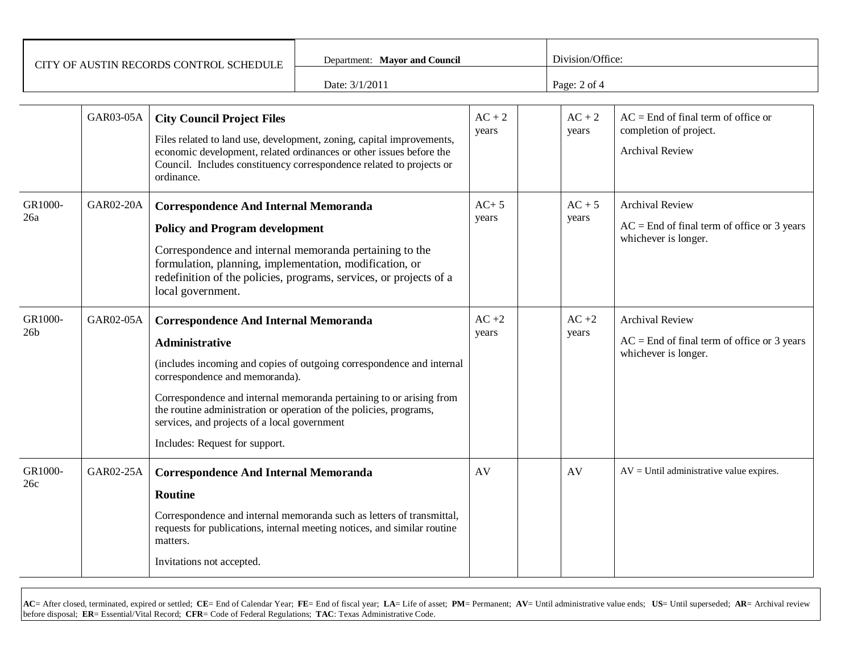| CITY OF AUSTIN RECORDS CONTROL SCHEDULE | Department: Mayor and Council | Division/Office: |
|-----------------------------------------|-------------------------------|------------------|
|                                         | Date: 3/1/2011                | Page: $2$ of $4$ |

|                            | GAR03-05A        | <b>City Council Project Files</b><br>Files related to land use, development, zoning, capital improvements,<br>economic development, related ordinances or other issues before the<br>Council. Includes constituency correspondence related to projects or<br>ordinance.                                                                                                                                         | $AC + 2$<br>years | $AC + 2$<br>years | $AC =$ End of final term of office or<br>completion of project.<br><b>Archival Review</b>       |
|----------------------------|------------------|-----------------------------------------------------------------------------------------------------------------------------------------------------------------------------------------------------------------------------------------------------------------------------------------------------------------------------------------------------------------------------------------------------------------|-------------------|-------------------|-------------------------------------------------------------------------------------------------|
| GR1000-<br>26a             | <b>GAR02-20A</b> | <b>Correspondence And Internal Memoranda</b><br><b>Policy and Program development</b><br>Correspondence and internal memoranda pertaining to the<br>formulation, planning, implementation, modification, or<br>redefinition of the policies, programs, services, or projects of a<br>local government.                                                                                                          | $AC+5$<br>years   | $AC + 5$<br>years | <b>Archival Review</b><br>$AC =$ End of final term of office or 3 years<br>whichever is longer. |
| GR1000-<br>26 <sub>b</sub> | GAR02-05A        | <b>Correspondence And Internal Memoranda</b><br><b>Administrative</b><br>(includes incoming and copies of outgoing correspondence and internal<br>correspondence and memoranda).<br>Correspondence and internal memoranda pertaining to or arising from<br>the routine administration or operation of the policies, programs,<br>services, and projects of a local government<br>Includes: Request for support. | $AC +2$<br>years  | $AC +2$<br>years  | <b>Archival Review</b><br>$AC =$ End of final term of office or 3 years<br>whichever is longer. |
| GR1000-<br>26c             | GAR02-25A        | <b>Correspondence And Internal Memoranda</b><br><b>Routine</b><br>Correspondence and internal memoranda such as letters of transmittal,<br>requests for publications, internal meeting notices, and similar routine<br>matters.<br>Invitations not accepted.                                                                                                                                                    | AV                | AV                | $AV =$ Until administrative value expires.                                                      |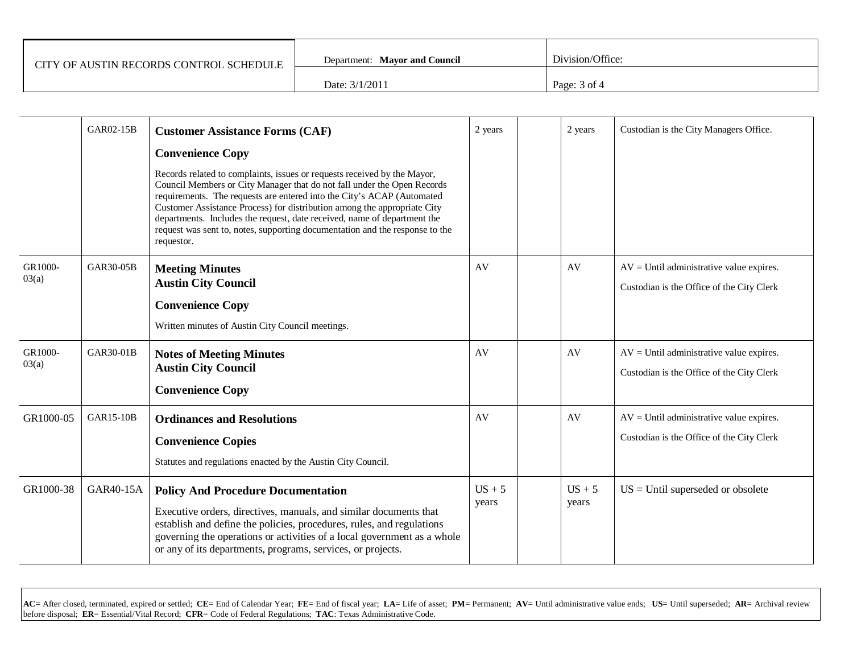| CITY OF AUSTIN RECORDS CONTROL SCHEDULE | Department: Mayor and Council | Division/Office: |  |  |
|-----------------------------------------|-------------------------------|------------------|--|--|
|                                         | Date: 3/1/2011                | Page: $3$ of $4$ |  |  |

|                  | GAR02-15B        | <b>Customer Assistance Forms (CAF)</b>                                                                                                                                                                                                                                                                                                                                                                                                                                              | 2 years           | 2 years           | Custodian is the City Managers Office.                                                   |
|------------------|------------------|-------------------------------------------------------------------------------------------------------------------------------------------------------------------------------------------------------------------------------------------------------------------------------------------------------------------------------------------------------------------------------------------------------------------------------------------------------------------------------------|-------------------|-------------------|------------------------------------------------------------------------------------------|
|                  |                  | <b>Convenience Copy</b>                                                                                                                                                                                                                                                                                                                                                                                                                                                             |                   |                   |                                                                                          |
|                  |                  | Records related to complaints, issues or requests received by the Mayor,<br>Council Members or City Manager that do not fall under the Open Records<br>requirements. The requests are entered into the City's ACAP (Automated<br>Customer Assistance Process) for distribution among the appropriate City<br>departments. Includes the request, date received, name of department the<br>request was sent to, notes, supporting documentation and the response to the<br>requestor. |                   |                   |                                                                                          |
| GR1000-<br>03(a) | <b>GAR30-05B</b> | <b>Meeting Minutes</b><br><b>Austin City Council</b><br><b>Convenience Copy</b>                                                                                                                                                                                                                                                                                                                                                                                                     | AV                | AV                | $AV = Until$ administrative value expires.<br>Custodian is the Office of the City Clerk  |
|                  |                  | Written minutes of Austin City Council meetings.                                                                                                                                                                                                                                                                                                                                                                                                                                    |                   |                   |                                                                                          |
| GR1000-<br>03(a) | GAR30-01B        | <b>Notes of Meeting Minutes</b><br><b>Austin City Council</b><br><b>Convenience Copy</b>                                                                                                                                                                                                                                                                                                                                                                                            | AV                | AV                | $AV = Unitil$ administrative value expires.<br>Custodian is the Office of the City Clerk |
| GR1000-05        | <b>GAR15-10B</b> |                                                                                                                                                                                                                                                                                                                                                                                                                                                                                     | AV                | AV                | $AV = Unitil$ administrative value expires.                                              |
|                  |                  | <b>Ordinances and Resolutions</b><br><b>Convenience Copies</b><br>Statutes and regulations enacted by the Austin City Council.                                                                                                                                                                                                                                                                                                                                                      |                   |                   | Custodian is the Office of the City Clerk                                                |
| GR1000-38        | GAR40-15A        | <b>Policy And Procedure Documentation</b><br>Executive orders, directives, manuals, and similar documents that<br>establish and define the policies, procedures, rules, and regulations<br>governing the operations or activities of a local government as a whole<br>or any of its departments, programs, services, or projects.                                                                                                                                                   | $US + 5$<br>years | $US + 5$<br>years | $US =$ Until superseded or obsolete                                                      |